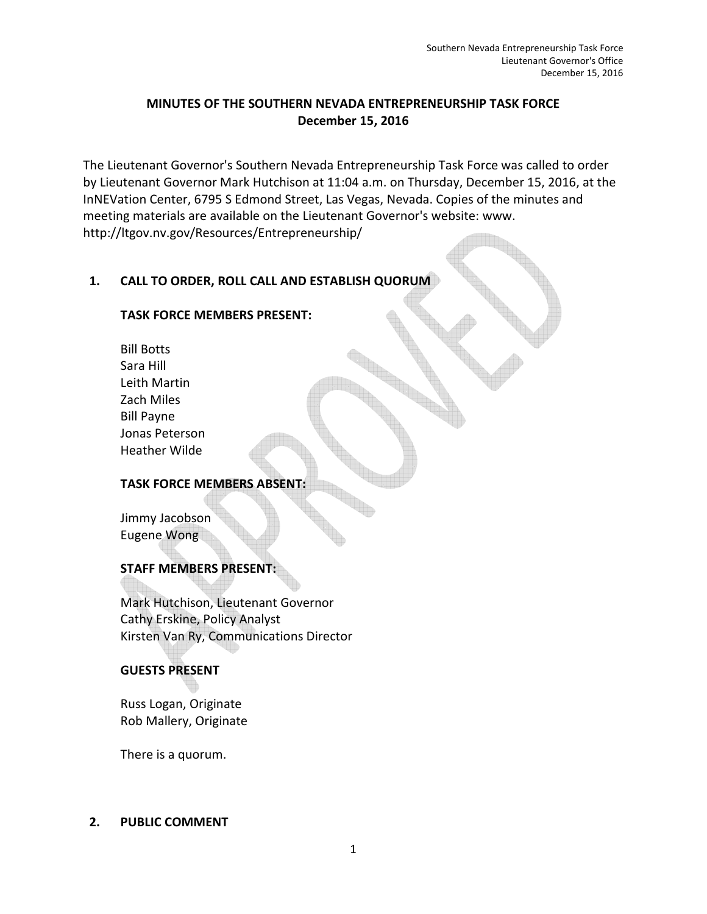## **MINUTES OF THE SOUTHERN NEVADA ENTREPRENEURSHIP TASK FORCE December 15, 2016**

The Lieutenant Governor's Southern Nevada Entrepreneurship Task Force was called to order by Lieutenant Governor Mark Hutchison at 11:04 a.m. on Thursday, December 15, 2016, at the InNEVation Center, 6795 S Edmond Street, Las Vegas, Nevada. Copies of the minutes and meeting materials are available on the Lieutenant Governor's website: www. http://ltgov.nv.gov/Resources/Entrepreneurship/

## **1. CALL TO ORDER, ROLL CALL AND ESTABLISH QUORUM**

### **TASK FORCE MEMBERS PRESENT:**

Bill Botts Sara Hill Leith Martin Zach Miles Bill Payne Jonas Peterson Heather Wilde

#### **TASK FORCE MEMBERS ABSENT:**

Jimmy Jacobson Eugene Wong

#### **STAFF MEMBERS PRESENT:**

Mark Hutchison, Lieutenant Governor Cathy Erskine, Policy Analyst Kirsten Van Ry, Communications Director

#### **GUESTS PRESENT**

Russ Logan, Originate Rob Mallery, Originate

There is a quorum.

#### **2. PUBLIC COMMENT**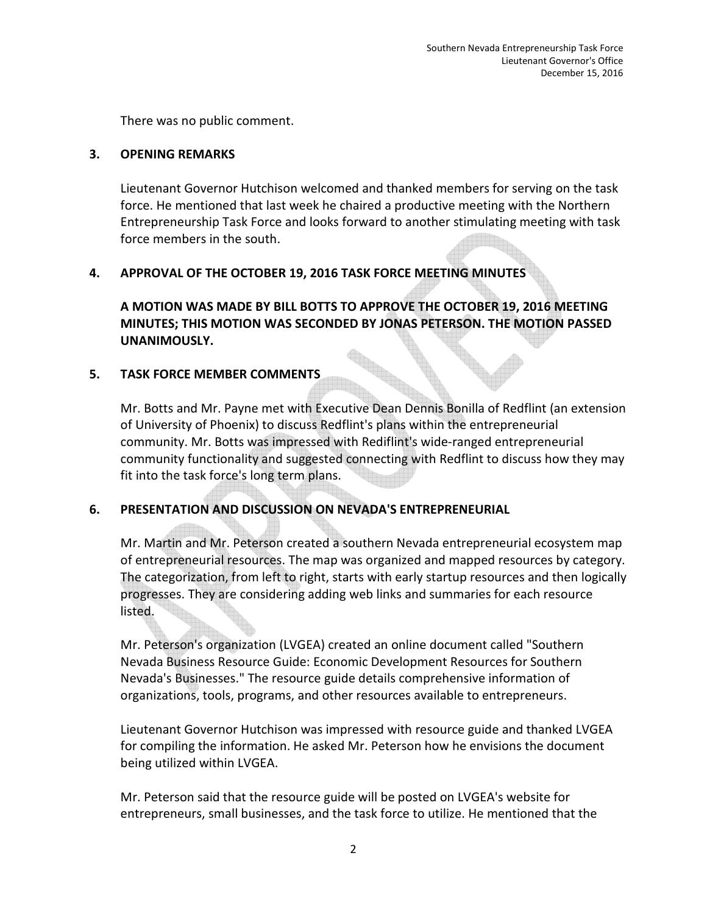There was no public comment.

### **3. OPENING REMARKS**

Lieutenant Governor Hutchison welcomed and thanked members for serving on the task force. He mentioned that last week he chaired a productive meeting with the Northern Entrepreneurship Task Force and looks forward to another stimulating meeting with task force members in the south.

## **4. APPROVAL OF THE OCTOBER 19, 2016 TASK FORCE MEETING MINUTES**

**A MOTION WAS MADE BY BILL BOTTS TO APPROVE THE OCTOBER 19, 2016 MEETING MINUTES; THIS MOTION WAS SECONDED BY JONAS PETERSON. THE MOTION PASSED UNANIMOUSLY.** 

## **5. TASK FORCE MEMBER COMMENTS**

Mr. Botts and Mr. Payne met with Executive Dean Dennis Bonilla of Redflint (an extension of University of Phoenix) to discuss Redflint's plans within the entrepreneurial community. Mr. Botts was impressed with Rediflint's wide-ranged entrepreneurial community functionality and suggested connecting with Redflint to discuss how they may fit into the task force's long term plans.

## **6. PRESENTATION AND DISCUSSION ON NEVADA'S ENTREPRENEURIAL**

Mr. Martin and Mr. Peterson created a southern Nevada entrepreneurial ecosystem map of entrepreneurial resources. The map was organized and mapped resources by category. The categorization, from left to right, starts with early startup resources and then logically progresses. They are considering adding web links and summaries for each resource listed.

Mr. Peterson's organization (LVGEA) created an online document called "Southern Nevada Business Resource Guide: Economic Development Resources for Southern Nevada's Businesses." The resource guide details comprehensive information of organizations, tools, programs, and other resources available to entrepreneurs.

Lieutenant Governor Hutchison was impressed with resource guide and thanked LVGEA for compiling the information. He asked Mr. Peterson how he envisions the document being utilized within LVGEA.

Mr. Peterson said that the resource guide will be posted on LVGEA's website for entrepreneurs, small businesses, and the task force to utilize. He mentioned that the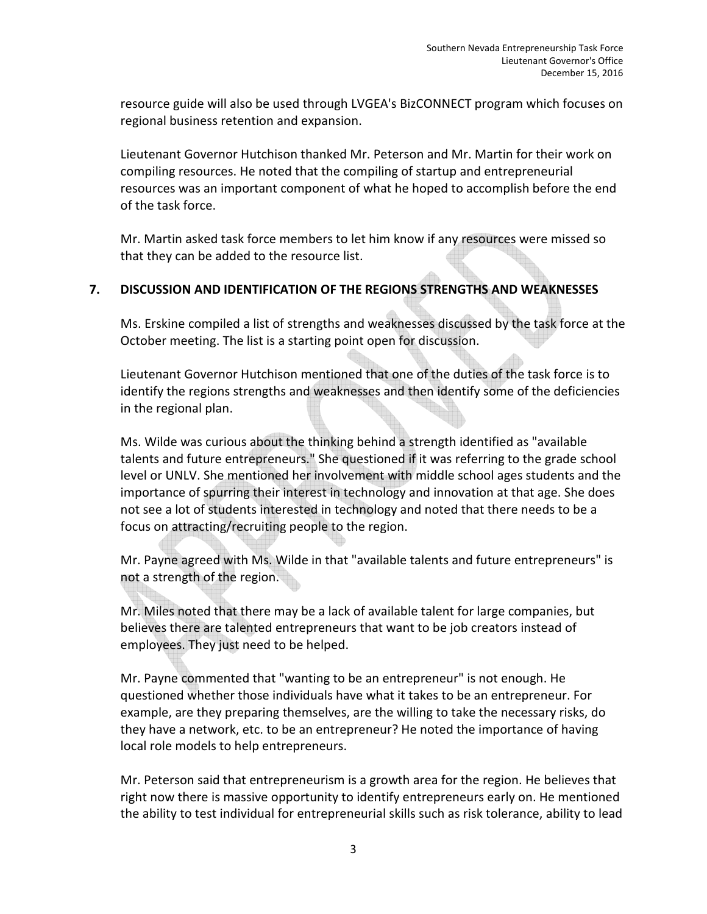resource guide will also be used through LVGEA's BizCONNECT program which focuses on regional business retention and expansion.

Lieutenant Governor Hutchison thanked Mr. Peterson and Mr. Martin for their work on compiling resources. He noted that the compiling of startup and entrepreneurial resources was an important component of what he hoped to accomplish before the end of the task force.

Mr. Martin asked task force members to let him know if any resources were missed so that they can be added to the resource list.

## **7. DISCUSSION AND IDENTIFICATION OF THE REGIONS STRENGTHS AND WEAKNESSES**

Ms. Erskine compiled a list of strengths and weaknesses discussed by the task force at the October meeting. The list is a starting point open for discussion.

Lieutenant Governor Hutchison mentioned that one of the duties of the task force is to identify the regions strengths and weaknesses and then identify some of the deficiencies in the regional plan.

Ms. Wilde was curious about the thinking behind a strength identified as "available talents and future entrepreneurs." She questioned if it was referring to the grade school level or UNLV. She mentioned her involvement with middle school ages students and the importance of spurring their interest in technology and innovation at that age. She does not see a lot of students interested in technology and noted that there needs to be a focus on attracting/recruiting people to the region.

Mr. Payne agreed with Ms. Wilde in that "available talents and future entrepreneurs" is not a strength of the region.

Mr. Miles noted that there may be a lack of available talent for large companies, but believes there are talented entrepreneurs that want to be job creators instead of employees. They just need to be helped.

Mr. Payne commented that "wanting to be an entrepreneur" is not enough. He questioned whether those individuals have what it takes to be an entrepreneur. For example, are they preparing themselves, are the willing to take the necessary risks, do they have a network, etc. to be an entrepreneur? He noted the importance of having local role models to help entrepreneurs.

Mr. Peterson said that entrepreneurism is a growth area for the region. He believes that right now there is massive opportunity to identify entrepreneurs early on. He mentioned the ability to test individual for entrepreneurial skills such as risk tolerance, ability to lead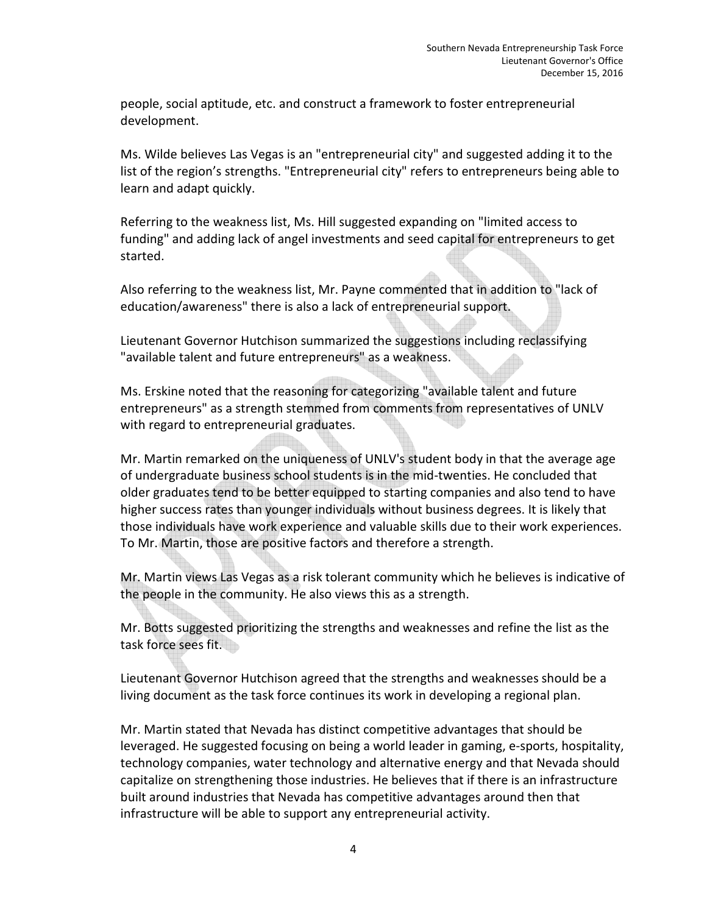people, social aptitude, etc. and construct a framework to foster entrepreneurial development.

Ms. Wilde believes Las Vegas is an "entrepreneurial city" and suggested adding it to the list of the region's strengths. "Entrepreneurial city" refers to entrepreneurs being able to learn and adapt quickly.

Referring to the weakness list, Ms. Hill suggested expanding on "limited access to funding" and adding lack of angel investments and seed capital for entrepreneurs to get started.

Also referring to the weakness list, Mr. Payne commented that in addition to "lack of education/awareness" there is also a lack of entrepreneurial support.

Lieutenant Governor Hutchison summarized the suggestions including reclassifying "available talent and future entrepreneurs" as a weakness.

Ms. Erskine noted that the reasoning for categorizing "available talent and future entrepreneurs" as a strength stemmed from comments from representatives of UNLV with regard to entrepreneurial graduates.

Mr. Martin remarked on the uniqueness of UNLV's student body in that the average age of undergraduate business school students is in the mid-twenties. He concluded that older graduates tend to be better equipped to starting companies and also tend to have higher success rates than younger individuals without business degrees. It is likely that those individuals have work experience and valuable skills due to their work experiences. To Mr. Martin, those are positive factors and therefore a strength.

Mr. Martin views Las Vegas as a risk tolerant community which he believes is indicative of the people in the community. He also views this as a strength.

Mr. Botts suggested prioritizing the strengths and weaknesses and refine the list as the task force sees fit.

Lieutenant Governor Hutchison agreed that the strengths and weaknesses should be a living document as the task force continues its work in developing a regional plan.

Mr. Martin stated that Nevada has distinct competitive advantages that should be leveraged. He suggested focusing on being a world leader in gaming, e-sports, hospitality, technology companies, water technology and alternative energy and that Nevada should capitalize on strengthening those industries. He believes that if there is an infrastructure built around industries that Nevada has competitive advantages around then that infrastructure will be able to support any entrepreneurial activity.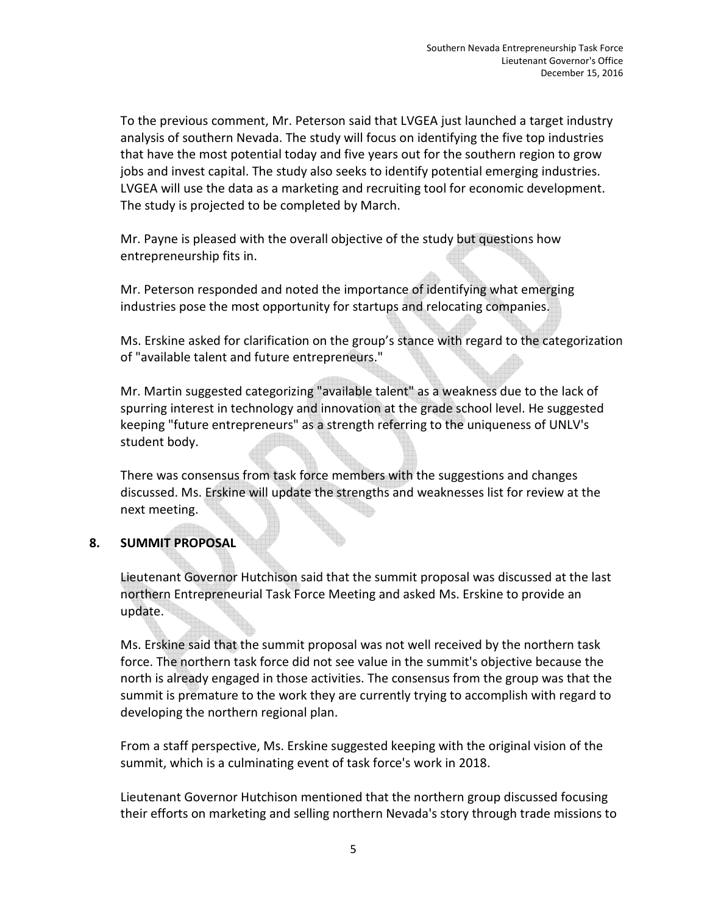To the previous comment, Mr. Peterson said that LVGEA just launched a target industry analysis of southern Nevada. The study will focus on identifying the five top industries that have the most potential today and five years out for the southern region to grow jobs and invest capital. The study also seeks to identify potential emerging industries. LVGEA will use the data as a marketing and recruiting tool for economic development. The study is projected to be completed by March.

Mr. Payne is pleased with the overall objective of the study but questions how entrepreneurship fits in.

Mr. Peterson responded and noted the importance of identifying what emerging industries pose the most opportunity for startups and relocating companies.

Ms. Erskine asked for clarification on the group's stance with regard to the categorization of "available talent and future entrepreneurs."

Mr. Martin suggested categorizing "available talent" as a weakness due to the lack of spurring interest in technology and innovation at the grade school level. He suggested keeping "future entrepreneurs" as a strength referring to the uniqueness of UNLV's student body.

There was consensus from task force members with the suggestions and changes discussed. Ms. Erskine will update the strengths and weaknesses list for review at the next meeting.

## **8. SUMMIT PROPOSAL**

Lieutenant Governor Hutchison said that the summit proposal was discussed at the last northern Entrepreneurial Task Force Meeting and asked Ms. Erskine to provide an update.

Ms. Erskine said that the summit proposal was not well received by the northern task force. The northern task force did not see value in the summit's objective because the north is already engaged in those activities. The consensus from the group was that the summit is premature to the work they are currently trying to accomplish with regard to developing the northern regional plan.

From a staff perspective, Ms. Erskine suggested keeping with the original vision of the summit, which is a culminating event of task force's work in 2018.

Lieutenant Governor Hutchison mentioned that the northern group discussed focusing their efforts on marketing and selling northern Nevada's story through trade missions to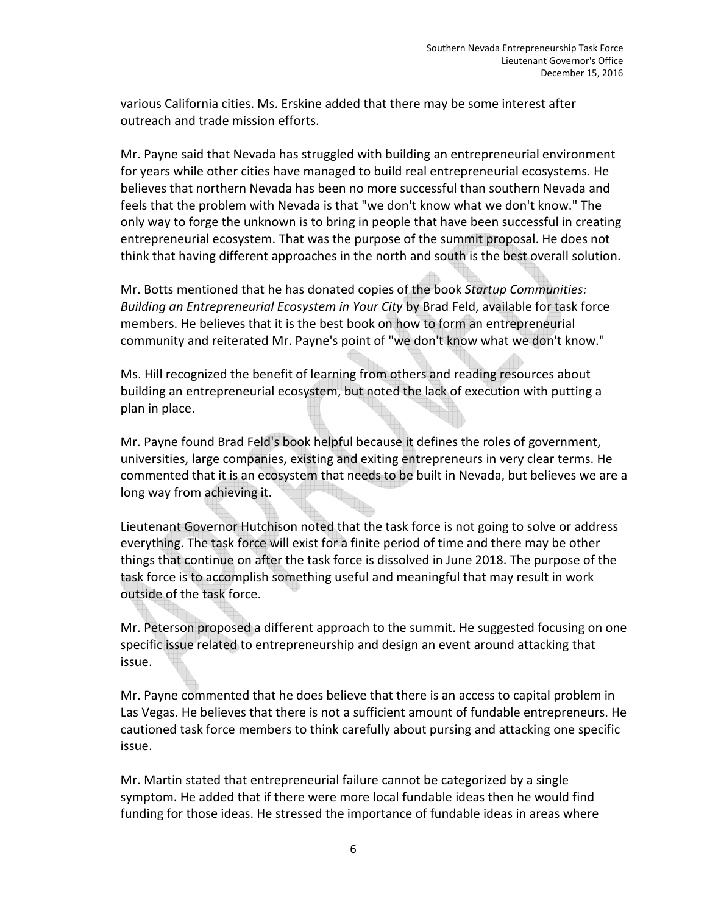various California cities. Ms. Erskine added that there may be some interest after outreach and trade mission efforts.

Mr. Payne said that Nevada has struggled with building an entrepreneurial environment for years while other cities have managed to build real entrepreneurial ecosystems. He believes that northern Nevada has been no more successful than southern Nevada and feels that the problem with Nevada is that "we don't know what we don't know." The only way to forge the unknown is to bring in people that have been successful in creating entrepreneurial ecosystem. That was the purpose of the summit proposal. He does not think that having different approaches in the north and south is the best overall solution.

Mr. Botts mentioned that he has donated copies of the book *Startup Communities: Building an Entrepreneurial Ecosystem in Your City* by Brad Feld, available for task force members. He believes that it is the best book on how to form an entrepreneurial community and reiterated Mr. Payne's point of "we don't know what we don't know."

Ms. Hill recognized the benefit of learning from others and reading resources about building an entrepreneurial ecosystem, but noted the lack of execution with putting a plan in place.

Mr. Payne found Brad Feld's book helpful because it defines the roles of government, universities, large companies, existing and exiting entrepreneurs in very clear terms. He commented that it is an ecosystem that needs to be built in Nevada, but believes we are a long way from achieving it.

Lieutenant Governor Hutchison noted that the task force is not going to solve or address everything. The task force will exist for a finite period of time and there may be other things that continue on after the task force is dissolved in June 2018. The purpose of the task force is to accomplish something useful and meaningful that may result in work outside of the task force.

Mr. Peterson proposed a different approach to the summit. He suggested focusing on one specific issue related to entrepreneurship and design an event around attacking that issue.

Mr. Payne commented that he does believe that there is an access to capital problem in Las Vegas. He believes that there is not a sufficient amount of fundable entrepreneurs. He cautioned task force members to think carefully about pursing and attacking one specific issue.

Mr. Martin stated that entrepreneurial failure cannot be categorized by a single symptom. He added that if there were more local fundable ideas then he would find funding for those ideas. He stressed the importance of fundable ideas in areas where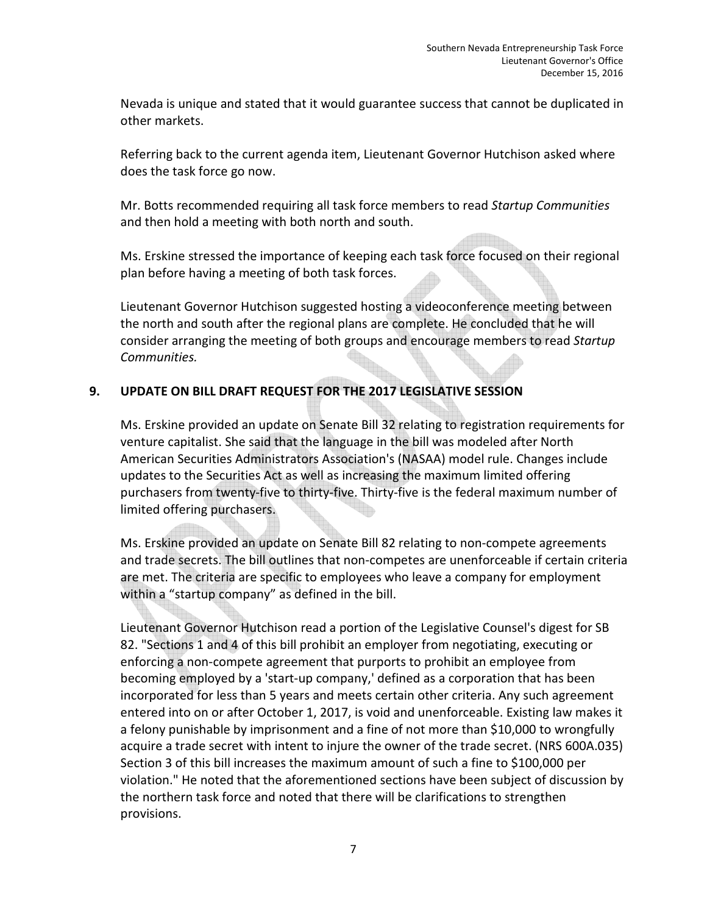Nevada is unique and stated that it would guarantee success that cannot be duplicated in other markets.

Referring back to the current agenda item, Lieutenant Governor Hutchison asked where does the task force go now.

Mr. Botts recommended requiring all task force members to read *Startup Communities*  and then hold a meeting with both north and south.

Ms. Erskine stressed the importance of keeping each task force focused on their regional plan before having a meeting of both task forces.

Lieutenant Governor Hutchison suggested hosting a videoconference meeting between the north and south after the regional plans are complete. He concluded that he will consider arranging the meeting of both groups and encourage members to read *Startup Communities.* 

# **9. UPDATE ON BILL DRAFT REQUEST FOR THE 2017 LEGISLATIVE SESSION**

Ms. Erskine provided an update on Senate Bill 32 relating to registration requirements for venture capitalist. She said that the language in the bill was modeled after North American Securities Administrators Association's (NASAA) model rule. Changes include updates to the Securities Act as well as increasing the maximum limited offering purchasers from twenty-five to thirty-five. Thirty-five is the federal maximum number of limited offering purchasers.

Ms. Erskine provided an update on Senate Bill 82 relating to non-compete agreements and trade secrets. The bill outlines that non-competes are unenforceable if certain criteria are met. The criteria are specific to employees who leave a company for employment within a "startup company" as defined in the bill.

Lieutenant Governor Hutchison read a portion of the Legislative Counsel's digest for SB 82. "Sections 1 and 4 of this bill prohibit an employer from negotiating, executing or enforcing a non-compete agreement that purports to prohibit an employee from becoming employed by a 'start-up company,' defined as a corporation that has been incorporated for less than 5 years and meets certain other criteria. Any such agreement entered into on or after October 1, 2017, is void and unenforceable. Existing law makes it a felony punishable by imprisonment and a fine of not more than \$10,000 to wrongfully acquire a trade secret with intent to injure the owner of the trade secret. (NRS 600A.035) Section 3 of this bill increases the maximum amount of such a fine to \$100,000 per violation." He noted that the aforementioned sections have been subject of discussion by the northern task force and noted that there will be clarifications to strengthen provisions.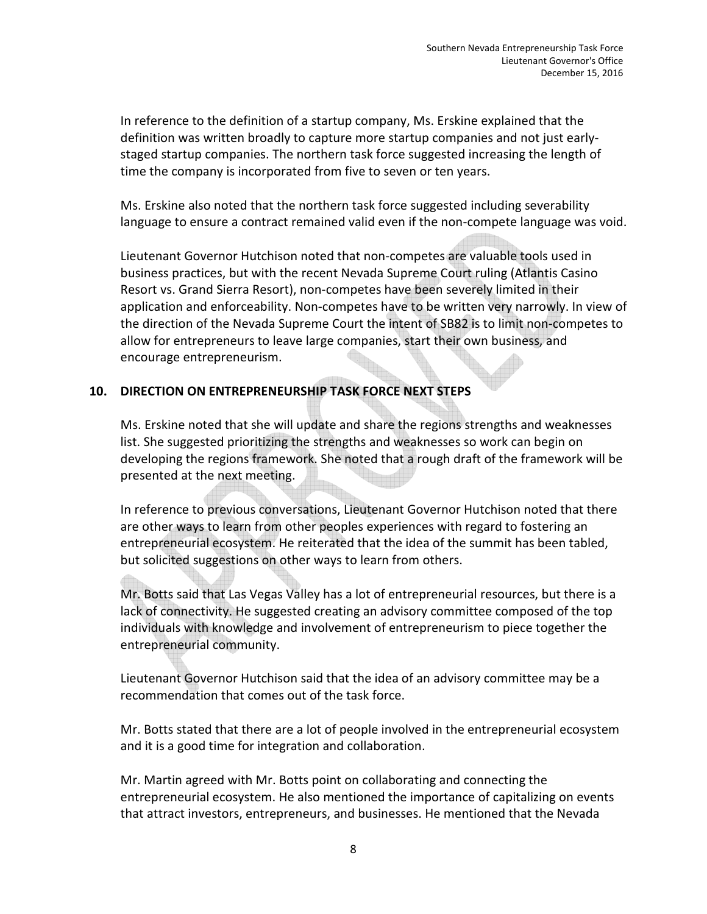In reference to the definition of a startup company, Ms. Erskine explained that the definition was written broadly to capture more startup companies and not just earlystaged startup companies. The northern task force suggested increasing the length of time the company is incorporated from five to seven or ten years.

Ms. Erskine also noted that the northern task force suggested including severability language to ensure a contract remained valid even if the non-compete language was void.

Lieutenant Governor Hutchison noted that non-competes are valuable tools used in business practices, but with the recent Nevada Supreme Court ruling (Atlantis Casino Resort vs. Grand Sierra Resort), non-competes have been severely limited in their application and enforceability. Non-competes have to be written very narrowly. In view of the direction of the Nevada Supreme Court the intent of SB82 is to limit non-competes to allow for entrepreneurs to leave large companies, start their own business, and encourage entrepreneurism.

### **10. DIRECTION ON ENTREPRENEURSHIP TASK FORCE NEXT STEPS**

Ms. Erskine noted that she will update and share the regions strengths and weaknesses list. She suggested prioritizing the strengths and weaknesses so work can begin on developing the regions framework. She noted that a rough draft of the framework will be presented at the next meeting.

In reference to previous conversations, Lieutenant Governor Hutchison noted that there are other ways to learn from other peoples experiences with regard to fostering an entrepreneurial ecosystem. He reiterated that the idea of the summit has been tabled, but solicited suggestions on other ways to learn from others.

Mr. Botts said that Las Vegas Valley has a lot of entrepreneurial resources, but there is a lack of connectivity. He suggested creating an advisory committee composed of the top individuals with knowledge and involvement of entrepreneurism to piece together the entrepreneurial community.

Lieutenant Governor Hutchison said that the idea of an advisory committee may be a recommendation that comes out of the task force.

Mr. Botts stated that there are a lot of people involved in the entrepreneurial ecosystem and it is a good time for integration and collaboration.

Mr. Martin agreed with Mr. Botts point on collaborating and connecting the entrepreneurial ecosystem. He also mentioned the importance of capitalizing on events that attract investors, entrepreneurs, and businesses. He mentioned that the Nevada